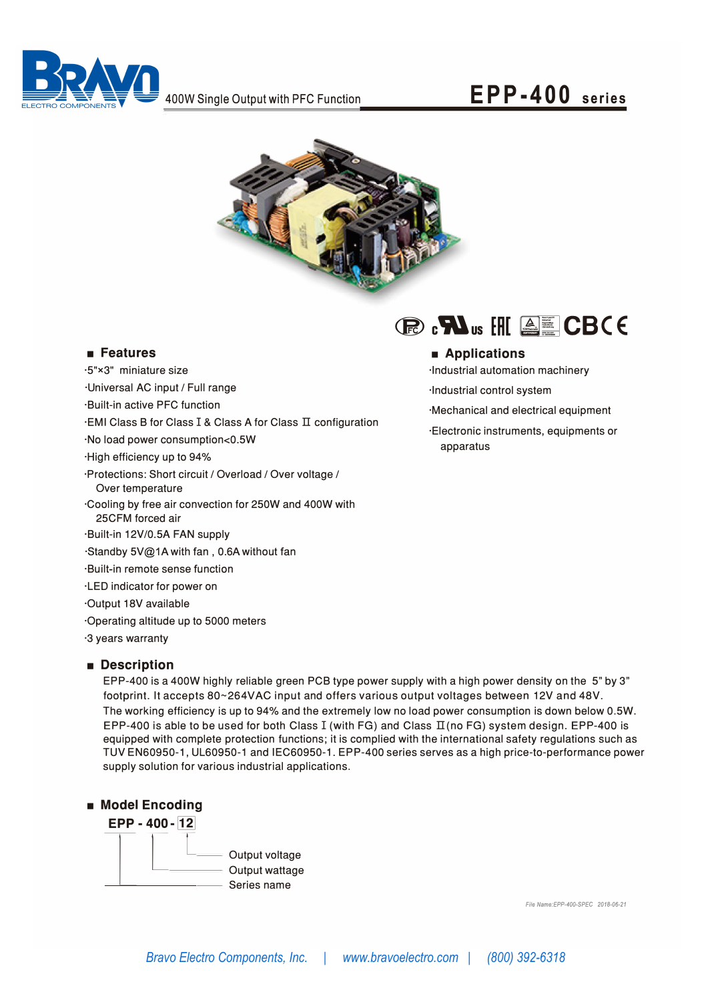

## **EPP-400 series**



#### ■ **Features**

·5"x3" miniature size ·Universal AC input/ Full range ·Built-in active PFC function ·EMI Class B for Class I & Class A for Class II configuration ·No load power consumption<0.5W ·High efficiency up to 94% ·Protections: Short circuit/ Overload *I* Over voltage *I* Over temperature ·Cooling by free air convection for 250W and 400W with 25CFM forced air ·Built-in 12V/0.5A FAN supply ·Standby 5V@1Awith fan, 0.6Awithout fan ·Built-in remote sense function ·LED indicator for power on ·Output 18V available ·Operating altitude up to 5000 meters ·3 years warranty

### ■ **Description**

EPP-400 is a 400W highly reliable green PCB type power supply with a high power density on the 5" by 3" footprint. It accepts 80~264VAC input and offers various output voltages between 12V and 48V . The working efficiency is up to 94% and the extremely low no load power consumption is down below 0.5W. EPP-400 is able to be used for both Class I (with FG) and Class  $II$ (no FG) system design. EPP-400 is equipped with complete protection functions; it is complied with the international safety regulations such as TUV EN60950-1, UL60950-1 and IEC60950-1. EPP-400 series serves as a high price-to-performance power supply solution for various industrial applications.

#### ■ **Model Encoding**



*File Name:EPP-400-SPEC 2018-06-21* 

# $\bigcirc$ **R**)  $\bullet$ **M**<sub>us</sub>  $\bigcirc$ H[  $\bigcirc$ **E**  $\bigcirc$ **CB** $\bigcirc$ **E**

### **■ Applications**

·Industrial automation machinery

·Industrial control system

·Mechanical and electrical equipment

·Electronic instruments, equipments or apparatus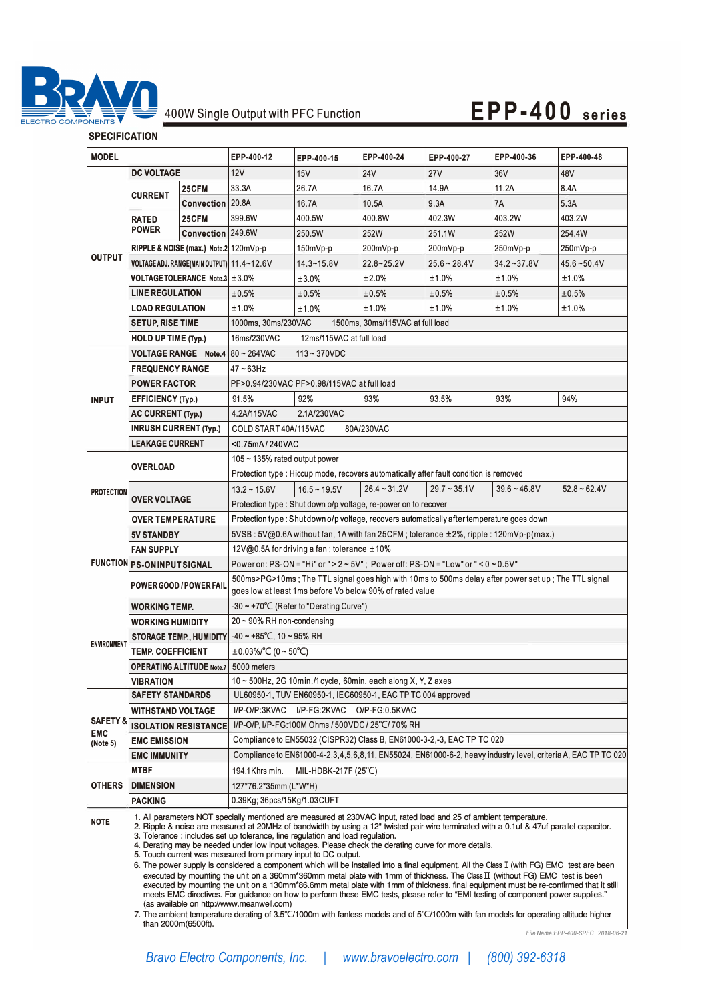

## 400W Single Output with PFC Function **EPP-400 series**

### **SPECIFICATION**

| <b>MODEL</b>                                  |                                                                                                                                                                                                                                                                                                                                                                                                                                                                                                                                                                                                                                                                                                                                                                                                                                                                                                                                                                                                                                                                                                                                  | EPP-400-12        | EPP-400-15                                                                                                                                                   | EPP-400-24        | EPP-400-27     | EPP-400-36                                                                             | EPP-400-48     |                                   |
|-----------------------------------------------|----------------------------------------------------------------------------------------------------------------------------------------------------------------------------------------------------------------------------------------------------------------------------------------------------------------------------------------------------------------------------------------------------------------------------------------------------------------------------------------------------------------------------------------------------------------------------------------------------------------------------------------------------------------------------------------------------------------------------------------------------------------------------------------------------------------------------------------------------------------------------------------------------------------------------------------------------------------------------------------------------------------------------------------------------------------------------------------------------------------------------------|-------------------|--------------------------------------------------------------------------------------------------------------------------------------------------------------|-------------------|----------------|----------------------------------------------------------------------------------------|----------------|-----------------------------------|
| <b>DC VOLTAGE</b>                             |                                                                                                                                                                                                                                                                                                                                                                                                                                                                                                                                                                                                                                                                                                                                                                                                                                                                                                                                                                                                                                                                                                                                  |                   | 12V                                                                                                                                                          | 15V               | 24V            | <b>27V</b>                                                                             | 36V            | 48V                               |
| <b>OUTPUT</b>                                 |                                                                                                                                                                                                                                                                                                                                                                                                                                                                                                                                                                                                                                                                                                                                                                                                                                                                                                                                                                                                                                                                                                                                  | 25CFM             | 33.3A                                                                                                                                                        | 26.7A             | 16.7A          | 14.9A                                                                                  | 11.2A          | 8.4A                              |
|                                               | <b>CURRENT</b>                                                                                                                                                                                                                                                                                                                                                                                                                                                                                                                                                                                                                                                                                                                                                                                                                                                                                                                                                                                                                                                                                                                   | Convection 20.8A  |                                                                                                                                                              | 16.7A             | 10.5A          | 9.3A                                                                                   | 7A             | 5.3A                              |
|                                               | <b>RATED</b><br><b>POWER</b>                                                                                                                                                                                                                                                                                                                                                                                                                                                                                                                                                                                                                                                                                                                                                                                                                                                                                                                                                                                                                                                                                                     | 25CFM             | 399.6W                                                                                                                                                       | 400.5W            | 400.8W         | 402.3W                                                                                 | 403.2W         | 403.2W                            |
|                                               |                                                                                                                                                                                                                                                                                                                                                                                                                                                                                                                                                                                                                                                                                                                                                                                                                                                                                                                                                                                                                                                                                                                                  | Convection 249.6W |                                                                                                                                                              | 250.5W            | 252W           | 251.1W                                                                                 | 252W           | 254.4W                            |
|                                               | RIPPLE & NOISE (max.) Note.2 120mVp-p                                                                                                                                                                                                                                                                                                                                                                                                                                                                                                                                                                                                                                                                                                                                                                                                                                                                                                                                                                                                                                                                                            |                   |                                                                                                                                                              | 150mVp-p          | 200mVp-p       | 200mVp-p                                                                               | 250mVp-p       | 250mVp-p                          |
|                                               | VOLTAGE ADJ. RANGE(MAIN OUTPUT) 11.4~12.6V                                                                                                                                                                                                                                                                                                                                                                                                                                                                                                                                                                                                                                                                                                                                                                                                                                                                                                                                                                                                                                                                                       |                   |                                                                                                                                                              | 14.3~15.8V        | 22.8~25.2V     | $25.6 - 28.4V$                                                                         | $34.2 - 37.8V$ | $45.6 - 50.4V$                    |
|                                               | VOLTAGE TOLERANCE Note.3 ± 3.0%                                                                                                                                                                                                                                                                                                                                                                                                                                                                                                                                                                                                                                                                                                                                                                                                                                                                                                                                                                                                                                                                                                  |                   |                                                                                                                                                              | ±3.0%             | ±2.0%          | ±1.0%                                                                                  | ±1.0%          | ±1.0%                             |
|                                               | <b>LINE REGULATION</b>                                                                                                                                                                                                                                                                                                                                                                                                                                                                                                                                                                                                                                                                                                                                                                                                                                                                                                                                                                                                                                                                                                           |                   | ±0.5%                                                                                                                                                        | ±0.5%             | ±0.5%          | ±0.5%                                                                                  | ±0.5%          | ±0.5%                             |
|                                               | <b>LOAD REGULATION</b>                                                                                                                                                                                                                                                                                                                                                                                                                                                                                                                                                                                                                                                                                                                                                                                                                                                                                                                                                                                                                                                                                                           |                   | ±1.0%                                                                                                                                                        | ±1.0%             | ±1.0%          | ±1.0%                                                                                  | ±1.0%          | $±1.0\%$                          |
|                                               | <b>SETUP, RISE TIME</b>                                                                                                                                                                                                                                                                                                                                                                                                                                                                                                                                                                                                                                                                                                                                                                                                                                                                                                                                                                                                                                                                                                          |                   | 1000ms, 30ms/230VAC<br>1500ms, 30ms/115VAC at full load                                                                                                      |                   |                |                                                                                        |                |                                   |
|                                               | <b>HOLD UP TIME (Typ.)</b>                                                                                                                                                                                                                                                                                                                                                                                                                                                                                                                                                                                                                                                                                                                                                                                                                                                                                                                                                                                                                                                                                                       |                   | 16ms/230VAC<br>12ms/115VAC at full load                                                                                                                      |                   |                |                                                                                        |                |                                   |
|                                               | <b>VOLTAGE RANGE</b> Note.4   $80 \sim 264$ VAC                                                                                                                                                                                                                                                                                                                                                                                                                                                                                                                                                                                                                                                                                                                                                                                                                                                                                                                                                                                                                                                                                  |                   | $113 - 370$ VDC                                                                                                                                              |                   |                |                                                                                        |                |                                   |
| <b>INPUT</b>                                  | <b>FREQUENCY RANGE</b>                                                                                                                                                                                                                                                                                                                                                                                                                                                                                                                                                                                                                                                                                                                                                                                                                                                                                                                                                                                                                                                                                                           |                   | $47 - 63$ Hz                                                                                                                                                 |                   |                |                                                                                        |                |                                   |
|                                               | <b>POWER FACTOR</b>                                                                                                                                                                                                                                                                                                                                                                                                                                                                                                                                                                                                                                                                                                                                                                                                                                                                                                                                                                                                                                                                                                              |                   | PF>0.94/230VAC PF>0.98/115VAC at full load                                                                                                                   |                   |                |                                                                                        |                |                                   |
|                                               | <b>EFFICIENCY (Typ.)</b>                                                                                                                                                                                                                                                                                                                                                                                                                                                                                                                                                                                                                                                                                                                                                                                                                                                                                                                                                                                                                                                                                                         |                   | 91.5%                                                                                                                                                        | 92%               | 93%            | 93.5%                                                                                  | 93%            | 94%                               |
|                                               | <b>AC CURRENT (Typ.)</b>                                                                                                                                                                                                                                                                                                                                                                                                                                                                                                                                                                                                                                                                                                                                                                                                                                                                                                                                                                                                                                                                                                         |                   | 4.2A/115VAC                                                                                                                                                  | 2.1A/230VAC       |                |                                                                                        |                |                                   |
|                                               | <b>INRUSH CURRENT (Typ.)</b>                                                                                                                                                                                                                                                                                                                                                                                                                                                                                                                                                                                                                                                                                                                                                                                                                                                                                                                                                                                                                                                                                                     |                   | COLD START 40A/115VAC<br>80A/230VAC                                                                                                                          |                   |                |                                                                                        |                |                                   |
|                                               | <b>LEAKAGE CURRENT</b>                                                                                                                                                                                                                                                                                                                                                                                                                                                                                                                                                                                                                                                                                                                                                                                                                                                                                                                                                                                                                                                                                                           |                   | <0.75mA/240VAC                                                                                                                                               |                   |                |                                                                                        |                |                                   |
| <b>PROTECTION</b>                             | <b>OVERLOAD</b><br><b>OVER VOLTAGE</b>                                                                                                                                                                                                                                                                                                                                                                                                                                                                                                                                                                                                                                                                                                                                                                                                                                                                                                                                                                                                                                                                                           |                   | $105 \sim 135\%$ rated output power                                                                                                                          |                   |                |                                                                                        |                |                                   |
|                                               |                                                                                                                                                                                                                                                                                                                                                                                                                                                                                                                                                                                                                                                                                                                                                                                                                                                                                                                                                                                                                                                                                                                                  |                   |                                                                                                                                                              |                   |                | Protection type : Hiccup mode, recovers automatically after fault condition is removed |                |                                   |
|                                               |                                                                                                                                                                                                                                                                                                                                                                                                                                                                                                                                                                                                                                                                                                                                                                                                                                                                                                                                                                                                                                                                                                                                  |                   | $13.2 - 15.6V$                                                                                                                                               | $16.5 \sim 19.5V$ | $26.4 - 31.2V$ | $29.7 - 35.1V$                                                                         | $39.6 - 46.8V$ | $52.8 - 62.4V$                    |
|                                               |                                                                                                                                                                                                                                                                                                                                                                                                                                                                                                                                                                                                                                                                                                                                                                                                                                                                                                                                                                                                                                                                                                                                  |                   |                                                                                                                                                              |                   |                |                                                                                        |                |                                   |
|                                               | <b>OVER TEMPERATURE</b>                                                                                                                                                                                                                                                                                                                                                                                                                                                                                                                                                                                                                                                                                                                                                                                                                                                                                                                                                                                                                                                                                                          |                   | Protection type: Shut down o/p voltage, re-power on to recover<br>Protection type: Shut down o/p voltage, recovers automatically after temperature goes down |                   |                |                                                                                        |                |                                   |
|                                               | <b>5V STANDBY</b>                                                                                                                                                                                                                                                                                                                                                                                                                                                                                                                                                                                                                                                                                                                                                                                                                                                                                                                                                                                                                                                                                                                |                   | 5VSB: 5V@0.6A without fan, 1A with fan 25CFM; tolerance ±2%, ripple: 120mVp-p(max.)                                                                          |                   |                |                                                                                        |                |                                   |
|                                               | <b>FAN SUPPLY</b>                                                                                                                                                                                                                                                                                                                                                                                                                                                                                                                                                                                                                                                                                                                                                                                                                                                                                                                                                                                                                                                                                                                |                   | 12V@0.5A for driving a fan; tolerance ±10%                                                                                                                   |                   |                |                                                                                        |                |                                   |
|                                               | <b>FUNCTION PS-ON INPUT SIGNAL</b>                                                                                                                                                                                                                                                                                                                                                                                                                                                                                                                                                                                                                                                                                                                                                                                                                                                                                                                                                                                                                                                                                               |                   | Power on: PS-ON = "Hi" or " > 2 ~ 5V"; Power off: PS-ON = "Low" or " < $0$ ~ $0.5$ V"                                                                        |                   |                |                                                                                        |                |                                   |
|                                               | <b>POWER GOOD / POWER FAIL</b>                                                                                                                                                                                                                                                                                                                                                                                                                                                                                                                                                                                                                                                                                                                                                                                                                                                                                                                                                                                                                                                                                                   |                   | 500ms>PG>10ms; The TTL signal goes high with 10ms to 500ms delay after power set up; The TTL signal                                                          |                   |                |                                                                                        |                |                                   |
|                                               |                                                                                                                                                                                                                                                                                                                                                                                                                                                                                                                                                                                                                                                                                                                                                                                                                                                                                                                                                                                                                                                                                                                                  |                   | goes low at least 1ms before Vo below 90% of rated value                                                                                                     |                   |                |                                                                                        |                |                                   |
|                                               | <b>WORKING TEMP.</b>                                                                                                                                                                                                                                                                                                                                                                                                                                                                                                                                                                                                                                                                                                                                                                                                                                                                                                                                                                                                                                                                                                             |                   | $-30 \sim +70^{\circ}$ C (Refer to "Derating Curve")                                                                                                         |                   |                |                                                                                        |                |                                   |
| <b>ENVIRONMENT</b>                            | <b>WORKING HUMIDITY</b>                                                                                                                                                                                                                                                                                                                                                                                                                                                                                                                                                                                                                                                                                                                                                                                                                                                                                                                                                                                                                                                                                                          |                   | $20 \sim 90\%$ RH non-condensing                                                                                                                             |                   |                |                                                                                        |                |                                   |
|                                               | STORAGE TEMP., HUMIDITY -40 ~ +85°C, 10 ~ 95% RH                                                                                                                                                                                                                                                                                                                                                                                                                                                                                                                                                                                                                                                                                                                                                                                                                                                                                                                                                                                                                                                                                 |                   |                                                                                                                                                              |                   |                |                                                                                        |                |                                   |
|                                               | <b>TEMP. COEFFICIENT</b>                                                                                                                                                                                                                                                                                                                                                                                                                                                                                                                                                                                                                                                                                                                                                                                                                                                                                                                                                                                                                                                                                                         |                   | $\pm 0.03\%$ $\degree$ C (0 ~ 50 $\degree$ C)                                                                                                                |                   |                |                                                                                        |                |                                   |
|                                               | <b>OPERATING ALTITUDE Note.7</b>                                                                                                                                                                                                                                                                                                                                                                                                                                                                                                                                                                                                                                                                                                                                                                                                                                                                                                                                                                                                                                                                                                 |                   | 5000 meters                                                                                                                                                  |                   |                |                                                                                        |                |                                   |
|                                               | VIBRATION                                                                                                                                                                                                                                                                                                                                                                                                                                                                                                                                                                                                                                                                                                                                                                                                                                                                                                                                                                                                                                                                                                                        |                   | $10 \sim 500$ Hz, 2G 10min./1 cycle, 60min. each along X, Y, Z axes                                                                                          |                   |                |                                                                                        |                |                                   |
| <b>SAFETY &amp;</b><br><b>EMC</b><br>(Note 5) | <b>SAFETY STANDARDS</b>                                                                                                                                                                                                                                                                                                                                                                                                                                                                                                                                                                                                                                                                                                                                                                                                                                                                                                                                                                                                                                                                                                          |                   | UL60950-1, TUV EN60950-1, IEC60950-1, EAC TP TC 004 approved                                                                                                 |                   |                |                                                                                        |                |                                   |
|                                               | <b>WITHSTAND VOLTAGE</b>                                                                                                                                                                                                                                                                                                                                                                                                                                                                                                                                                                                                                                                                                                                                                                                                                                                                                                                                                                                                                                                                                                         |                   | I/P-O/P:3KVAC<br>I/P-FG:2KVAC O/P-FG:0.5KVAC                                                                                                                 |                   |                |                                                                                        |                |                                   |
|                                               | <b>ISOLATION RESISTANCE</b>                                                                                                                                                                                                                                                                                                                                                                                                                                                                                                                                                                                                                                                                                                                                                                                                                                                                                                                                                                                                                                                                                                      |                   | I/P-O/P. I/P-FG:100M Ohms / 500VDC / 25°C/ 70% RH                                                                                                            |                   |                |                                                                                        |                |                                   |
|                                               | <b>EMC EMISSION</b>                                                                                                                                                                                                                                                                                                                                                                                                                                                                                                                                                                                                                                                                                                                                                                                                                                                                                                                                                                                                                                                                                                              |                   | Compliance to EN55032 (CISPR32) Class B, EN61000-3-2,-3, EAC TP TC 020                                                                                       |                   |                |                                                                                        |                |                                   |
|                                               | <b>EMC IMMUNITY</b>                                                                                                                                                                                                                                                                                                                                                                                                                                                                                                                                                                                                                                                                                                                                                                                                                                                                                                                                                                                                                                                                                                              |                   | Compliance to EN61000-4-2,3,4,5,6,8,11, EN55024, EN61000-6-2, heavy industry level, criteria A, EAC TP TC 020                                                |                   |                |                                                                                        |                |                                   |
| <b>OTHERS</b>                                 | <b>MTBF</b>                                                                                                                                                                                                                                                                                                                                                                                                                                                                                                                                                                                                                                                                                                                                                                                                                                                                                                                                                                                                                                                                                                                      |                   | MIL-HDBK-217F $(25^{\circ}C)$<br>194.1 Khrs min.                                                                                                             |                   |                |                                                                                        |                |                                   |
|                                               | <b>DIMENSION</b>                                                                                                                                                                                                                                                                                                                                                                                                                                                                                                                                                                                                                                                                                                                                                                                                                                                                                                                                                                                                                                                                                                                 |                   | 127*76.2*35mm (L*W*H)                                                                                                                                        |                   |                |                                                                                        |                |                                   |
|                                               | <b>PACKING</b>                                                                                                                                                                                                                                                                                                                                                                                                                                                                                                                                                                                                                                                                                                                                                                                                                                                                                                                                                                                                                                                                                                                   |                   | 0.39Kg; 36pcs/15Kg/1.03CUFT                                                                                                                                  |                   |                |                                                                                        |                |                                   |
| <b>NOTE</b>                                   | 1. All parameters NOT specially mentioned are measured at 230VAC input, rated load and 25 of ambient temperature.<br>2. Ripple & noise are measured at 20MHz of bandwidth by using a 12" twisted pair-wire terminated with a 0.1uf & 47uf parallel capacitor.<br>3. Tolerance: includes set up tolerance, line regulation and load regulation.<br>4. Derating may be needed under low input voltages. Please check the derating curve for more details.<br>5. Touch current was measured from primary input to DC output.<br>6. The power supply is considered a component which will be installed into a final equipment. All the Class I (with FG) EMC test are been<br>executed by mounting the unit on a 360mm*360mm metal plate with 1mm of thickness. The Class II (without FG) EMC test is been<br>executed by mounting the unit on a 130mm*86.6mm metal plate with 1mm of thickness. final equipment must be re-confirmed that it still<br>meets EMC directives. For guidance on how to perform these EMC tests, please refer to "EMI testing of component power supplies."<br>(as available on http://www.meanwell.com) |                   |                                                                                                                                                              |                   |                |                                                                                        |                |                                   |
|                                               | 7. The ambient temperature derating of 3.5°C/1000m with fanless models and of 5°C/1000m with fan models for operating altitude higher<br>than 2000m(6500ft).                                                                                                                                                                                                                                                                                                                                                                                                                                                                                                                                                                                                                                                                                                                                                                                                                                                                                                                                                                     |                   |                                                                                                                                                              |                   |                |                                                                                        |                | File Name:EPP-400-SPEC 2018-06-21 |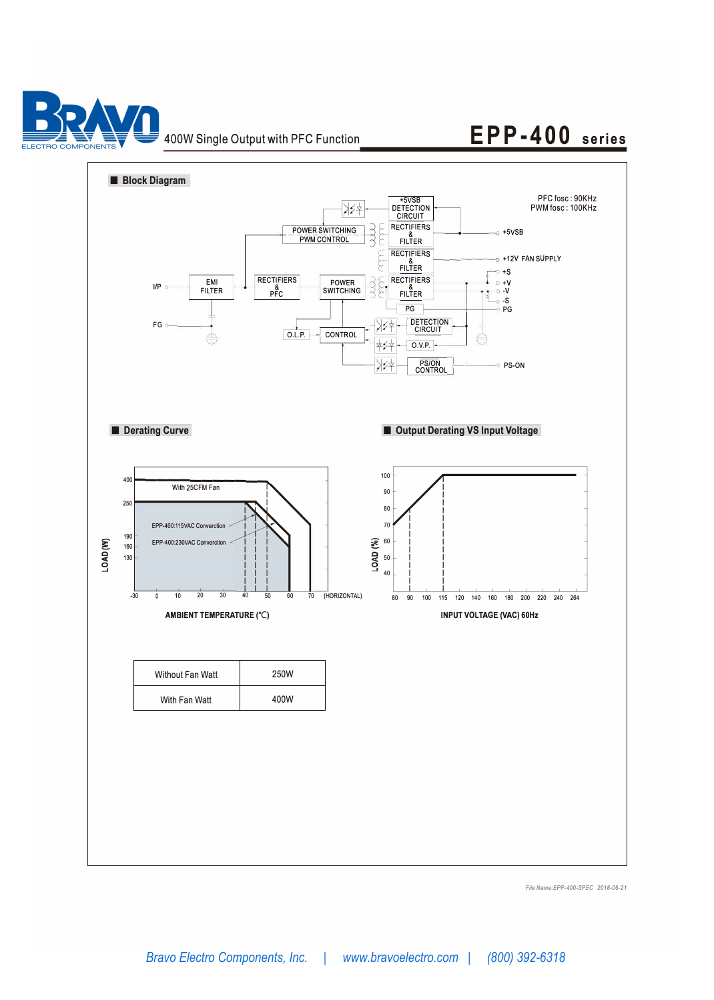

### 400W Single Output with PFC Function

### **EPP-400 series**



*File Name:EPP-400-SPEC 2018-06-21*